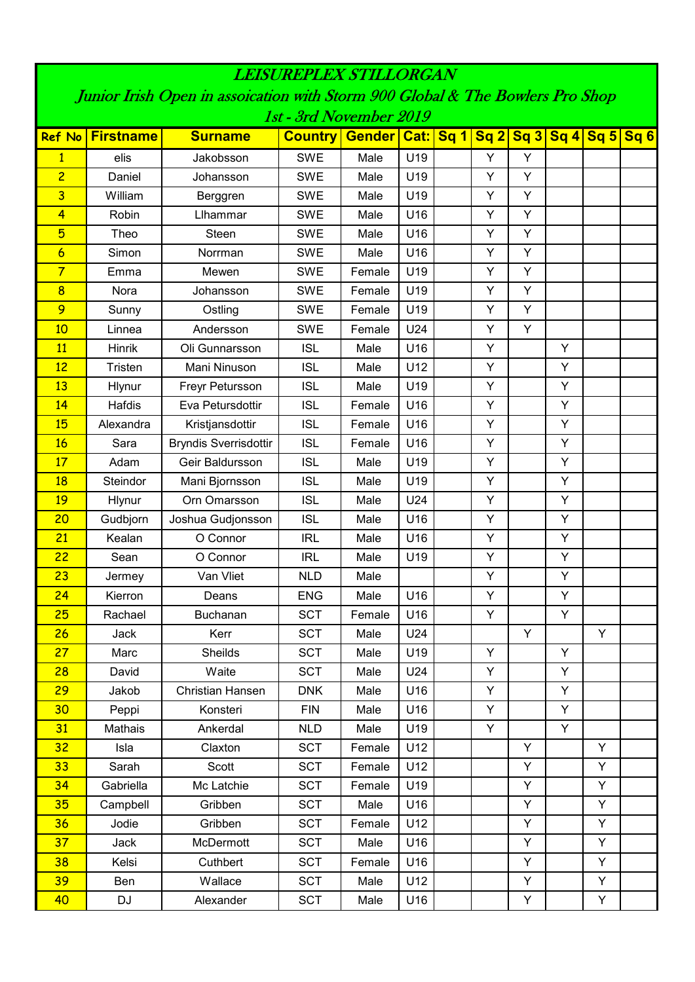| <i><b>LEISUREPLEX STILLORGAN</b></i>                                          |                  |                              |                                         |        |                 |  |   |                                                                                                                                                           |   |   |                 |
|-------------------------------------------------------------------------------|------------------|------------------------------|-----------------------------------------|--------|-----------------|--|---|-----------------------------------------------------------------------------------------------------------------------------------------------------------|---|---|-----------------|
| Junior Irish Open in assoication with Storm 900 Global & The Bowlers Pro Shop |                  |                              |                                         |        |                 |  |   |                                                                                                                                                           |   |   |                 |
|                                                                               |                  |                              | 1st - 3rd November 2019                 |        |                 |  |   |                                                                                                                                                           |   |   |                 |
| <b>Ref No</b>                                                                 | <b>Firstname</b> | <b>Surname</b>               | <b>Country   Gender   Cat:   Sq 1  </b> |        |                 |  |   | $\left  \begin{array}{c c} \mathsf{Sq} & \mathsf{2} & \mathsf{Sq} & \mathsf{3} & \mathsf{Sq} & \mathsf{4} & \mathsf{Sq} & \mathsf{5} \end{array} \right $ |   |   | Sq <sub>6</sub> |
| $\mathbf{1}$                                                                  | elis             | Jakobsson                    | <b>SWE</b>                              | Male   | U19             |  | Y | Y                                                                                                                                                         |   |   |                 |
| $\overline{c}$                                                                | Daniel           | Johansson                    | <b>SWE</b>                              | Male   | U19             |  | Y | Y                                                                                                                                                         |   |   |                 |
| 3                                                                             | William          | Berggren                     | <b>SWE</b>                              | Male   | U19             |  | Y | Y                                                                                                                                                         |   |   |                 |
| $\overline{4}$                                                                | Robin            | Llhammar                     | <b>SWE</b>                              | Male   | U16             |  | Y | Υ                                                                                                                                                         |   |   |                 |
| 5                                                                             | Theo             | Steen                        | <b>SWE</b>                              | Male   | U16             |  | Y | Y                                                                                                                                                         |   |   |                 |
| $\overline{6}$                                                                | Simon            | Norrman                      | <b>SWE</b>                              | Male   | U16             |  | Y | Y                                                                                                                                                         |   |   |                 |
| $\overline{7}$                                                                | Emma             | Mewen                        | <b>SWE</b>                              | Female | U19             |  | Υ | Y                                                                                                                                                         |   |   |                 |
| $\overline{\mathbf{8}}$                                                       | Nora             | Johansson                    | <b>SWE</b>                              | Female | U19             |  | Y | Y                                                                                                                                                         |   |   |                 |
| 9                                                                             | Sunny            | Ostling                      | <b>SWE</b>                              | Female | U19             |  | Y | Y                                                                                                                                                         |   |   |                 |
| 10                                                                            | Linnea           | Andersson                    | <b>SWE</b>                              | Female | U24             |  | Y | Y                                                                                                                                                         |   |   |                 |
| 11                                                                            | <b>Hinrik</b>    | Oli Gunnarsson               | <b>ISL</b>                              | Male   | U16             |  | Y |                                                                                                                                                           | Υ |   |                 |
| 12                                                                            | <b>Tristen</b>   | Mani Ninuson                 | <b>ISL</b>                              | Male   | U12             |  | Y |                                                                                                                                                           | Y |   |                 |
| 13                                                                            | Hlynur           | Freyr Petursson              | <b>ISL</b>                              | Male   | U19             |  | Y |                                                                                                                                                           | Υ |   |                 |
| 14                                                                            | Hafdis           | Eva Petursdottir             | <b>ISL</b>                              | Female | U <sub>16</sub> |  | Y |                                                                                                                                                           | Υ |   |                 |
| 15                                                                            | Alexandra        | Kristjansdottir              | <b>ISL</b>                              | Female | U16             |  | Y |                                                                                                                                                           | Υ |   |                 |
| 16                                                                            | Sara             | <b>Bryndis Sverrisdottir</b> | <b>ISL</b>                              | Female | U16             |  | Y |                                                                                                                                                           | Υ |   |                 |
| 17                                                                            | Adam             | Geir Baldursson              | <b>ISL</b>                              | Male   | U19             |  | Y |                                                                                                                                                           | Υ |   |                 |
| 18                                                                            | Steindor         | Mani Bjornsson               | <b>ISL</b>                              | Male   | U19             |  | Y |                                                                                                                                                           | Υ |   |                 |
| 19                                                                            | Hlynur           | Orn Omarsson                 | <b>ISL</b>                              | Male   | U24             |  | Y |                                                                                                                                                           | Υ |   |                 |
| 20                                                                            | Gudbjorn         | Joshua Gudjonsson            | <b>ISL</b>                              | Male   | U16             |  | Y |                                                                                                                                                           | Υ |   |                 |
| 21                                                                            | Kealan           | O Connor                     | <b>IRL</b>                              | Male   | U16             |  | Y |                                                                                                                                                           | Υ |   |                 |
| 22                                                                            | Sean             | O Connor                     | <b>IRL</b>                              | Male   | U19             |  | Y |                                                                                                                                                           | Υ |   |                 |
| 23                                                                            | Jermey           | Van Vliet                    | <b>NLD</b>                              | Male   |                 |  | Υ |                                                                                                                                                           | Υ |   |                 |
| 24                                                                            | Kierron          | Deans                        | <b>ENG</b>                              | Male   | U16             |  | Y |                                                                                                                                                           | Υ |   |                 |
| 25                                                                            | Rachael          | Buchanan                     | <b>SCT</b>                              | Female | U16             |  | Y |                                                                                                                                                           | Y |   |                 |
| 26                                                                            | Jack             | Kerr                         | <b>SCT</b>                              | Male   | U24             |  |   | Y                                                                                                                                                         |   | Y |                 |
| 27                                                                            | Marc             | <b>Sheilds</b>               | <b>SCT</b>                              | Male   | U19             |  | Y |                                                                                                                                                           | Y |   |                 |
| 28                                                                            | David            | Waite                        | <b>SCT</b>                              | Male   | U24             |  | Y |                                                                                                                                                           | Y |   |                 |
| 29                                                                            | Jakob            | Christian Hansen             | <b>DNK</b>                              | Male   | U16             |  | Y |                                                                                                                                                           | Y |   |                 |
| 30                                                                            | Peppi            | Konsteri                     | <b>FIN</b>                              | Male   | U16             |  | Y |                                                                                                                                                           | Y |   |                 |
| 31                                                                            | Mathais          | Ankerdal                     | <b>NLD</b>                              | Male   | U19             |  | Y |                                                                                                                                                           | Y |   |                 |
| 32                                                                            | Isla             | Claxton                      | <b>SCT</b>                              | Female | U12             |  |   | Y                                                                                                                                                         |   | Y |                 |
| 33                                                                            | Sarah            | Scott                        | <b>SCT</b>                              | Female | U12             |  |   | Y                                                                                                                                                         |   | Y |                 |
| 34                                                                            | Gabriella        | Mc Latchie                   | <b>SCT</b>                              | Female | U19             |  |   | Y                                                                                                                                                         |   | Y |                 |
| 35                                                                            | Campbell         | Gribben                      | <b>SCT</b>                              | Male   | U16             |  |   | Y                                                                                                                                                         |   | Y |                 |
| 36                                                                            | Jodie            | Gribben                      | <b>SCT</b>                              | Female | U12             |  |   | Y                                                                                                                                                         |   | Y |                 |
| 37                                                                            | Jack             | McDermott                    | <b>SCT</b>                              | Male   | U16             |  |   | Y                                                                                                                                                         |   | Y |                 |
| 38                                                                            | Kelsi            | Cuthbert                     | <b>SCT</b>                              | Female | U16             |  |   | Y                                                                                                                                                         |   | Y |                 |
| 39                                                                            | Ben              | Wallace                      | <b>SCT</b>                              | Male   | U12             |  |   | Y                                                                                                                                                         |   | Y |                 |
| 40                                                                            | DJ               | Alexander                    | <b>SCT</b>                              | Male   | U16             |  |   | Y                                                                                                                                                         |   | Y |                 |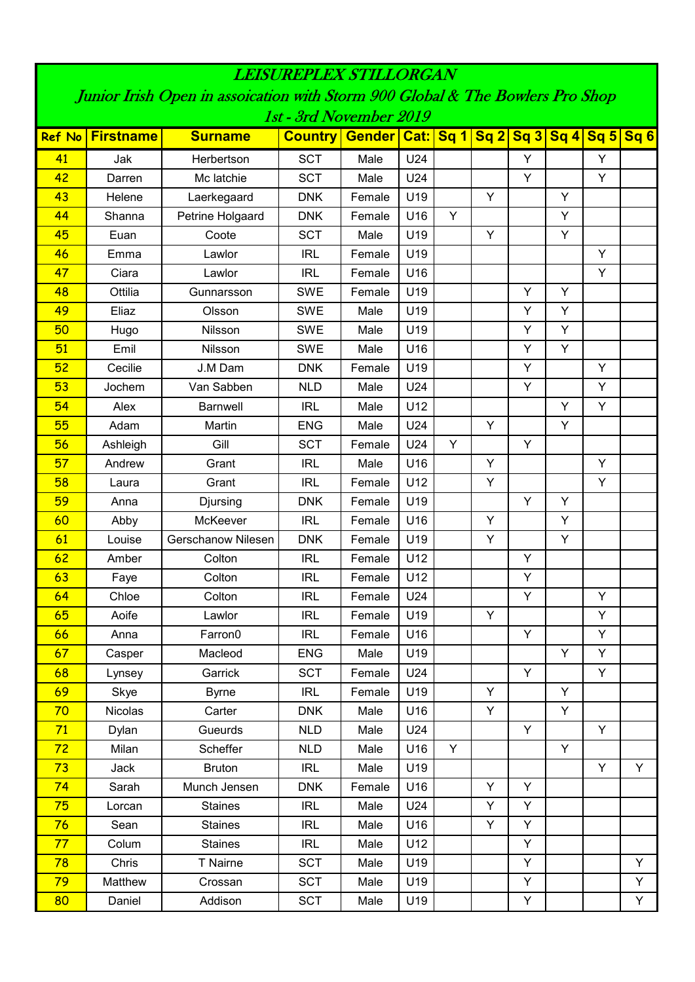| <i><b>LEKUREPLEX STILLORGAN</b></i>                                                                      |                  |                           |                                       |        |     |   |   |   |                          |   |   |  |
|----------------------------------------------------------------------------------------------------------|------------------|---------------------------|---------------------------------------|--------|-----|---|---|---|--------------------------|---|---|--|
| Junior Irish Open in assoication with Storm 900 Global & The Bowlers Pro Shop<br>1st - 3rd November 2019 |                  |                           |                                       |        |     |   |   |   |                          |   |   |  |
| <b>Ref No</b>                                                                                            | <b>Firstname</b> | <b>Surname</b>            | <b>Country   Gender   Cat:   Sq 1</b> |        |     |   |   |   | Sq 2 Sq 3 Sq 4 Sq 5 Sq 6 |   |   |  |
|                                                                                                          |                  |                           |                                       |        |     |   |   |   |                          |   |   |  |
| 41                                                                                                       | Jak              | Herbertson                | <b>SCT</b>                            | Male   | U24 |   |   | Y |                          | Υ |   |  |
| 42                                                                                                       | Darren           | Mc latchie                | <b>SCT</b>                            | Male   | U24 |   |   | Y |                          | Y |   |  |
| 43                                                                                                       | Helene           | Laerkegaard               | <b>DNK</b>                            | Female | U19 |   | Y |   | Υ                        |   |   |  |
| 44                                                                                                       | Shanna           | Petrine Holgaard          | <b>DNK</b>                            | Female | U16 | Y |   |   | Y                        |   |   |  |
| 45                                                                                                       | Euan             | Coote                     | <b>SCT</b>                            | Male   | U19 |   | Y |   | Y                        |   |   |  |
| 46                                                                                                       | Emma             | Lawlor                    | <b>IRL</b>                            | Female | U19 |   |   |   |                          | Y |   |  |
| 47                                                                                                       | Ciara            | Lawlor                    | <b>IRL</b>                            | Female | U16 |   |   |   |                          | Y |   |  |
| 48                                                                                                       | Ottilia          | Gunnarsson                | <b>SWE</b>                            | Female | U19 |   |   | Y | Υ                        |   |   |  |
| 49                                                                                                       | Eliaz            | Olsson                    | <b>SWE</b>                            | Male   | U19 |   |   | Y | Y                        |   |   |  |
| 50                                                                                                       | Hugo             | Nilsson                   | <b>SWE</b>                            | Male   | U19 |   |   | Y | Υ                        |   |   |  |
| 51                                                                                                       | Emil             | Nilsson                   | <b>SWE</b>                            | Male   | U16 |   |   | Y | Y                        |   |   |  |
| 52                                                                                                       | Cecilie          | J.M Dam                   | <b>DNK</b>                            | Female | U19 |   |   | Y |                          | Y |   |  |
| 53                                                                                                       | Jochem           | Van Sabben                | <b>NLD</b>                            | Male   | U24 |   |   | Y |                          | Y |   |  |
| 54                                                                                                       | Alex             | <b>Barnwell</b>           | <b>IRL</b>                            | Male   | U12 |   |   |   | Y                        | Y |   |  |
| 55                                                                                                       | Adam             | Martin                    | <b>ENG</b>                            | Male   | U24 |   | Y |   | Y                        |   |   |  |
| 56                                                                                                       | Ashleigh         | Gill                      | <b>SCT</b>                            | Female | U24 | Y |   | Y |                          |   |   |  |
| 57                                                                                                       | Andrew           | Grant                     | <b>IRL</b>                            | Male   | U16 |   | Y |   |                          | Υ |   |  |
| 58                                                                                                       | Laura            | Grant                     | <b>IRL</b>                            | Female | U12 |   | Y |   |                          | Y |   |  |
| 59                                                                                                       | Anna             | Djursing                  | <b>DNK</b>                            | Female | U19 |   |   | Y | Y                        |   |   |  |
| 60                                                                                                       | Abby             | McKeever                  | <b>IRL</b>                            | Female | U16 |   | Y |   | Y                        |   |   |  |
| 61                                                                                                       | Louise           | <b>Gerschanow Nilesen</b> | <b>DNK</b>                            | Female | U19 |   | Y |   | Υ                        |   |   |  |
| 62                                                                                                       | Amber            | Colton                    | <b>IRL</b>                            | Female | U12 |   |   | Y |                          |   |   |  |
| 63                                                                                                       | Faye             | Colton                    | <b>IRL</b>                            | Female | U12 |   |   | Y |                          |   |   |  |
| <u>64</u>                                                                                                | Chloe            | Colton                    | <b>IRL</b>                            | Female | U24 |   |   | Y |                          | Y |   |  |
| 65                                                                                                       | Aoife            | Lawlor                    | <b>IRL</b>                            | Female | U19 |   | Y |   |                          | Y |   |  |
| 66                                                                                                       | Anna             | Farron0                   | <b>IRL</b>                            | Female | U16 |   |   | Y |                          | Y |   |  |
| 67                                                                                                       | Casper           | Macleod                   | <b>ENG</b>                            | Male   | U19 |   |   |   | Y                        | Y |   |  |
| 68                                                                                                       | Lynsey           | Garrick                   | <b>SCT</b>                            | Female | U24 |   |   | Y |                          | Y |   |  |
| 69                                                                                                       | Skye             | <b>Byrne</b>              | <b>IRL</b>                            | Female | U19 |   | Y |   | Υ                        |   |   |  |
| 70                                                                                                       | Nicolas          | Carter                    | <b>DNK</b>                            | Male   | U16 |   | Y |   | Y                        |   |   |  |
| 71                                                                                                       | Dylan            | Gueurds                   | <b>NLD</b>                            | Male   | U24 |   |   | Y |                          | Y |   |  |
| 72                                                                                                       | Milan            | Scheffer                  | <b>NLD</b>                            | Male   | U16 | Y |   |   | Y                        |   |   |  |
| 73                                                                                                       | Jack             | <b>Bruton</b>             | <b>IRL</b>                            | Male   | U19 |   |   |   |                          | Y | Y |  |
| 74                                                                                                       | Sarah            | Munch Jensen              | <b>DNK</b>                            | Female | U16 |   | Y | Y |                          |   |   |  |
| 75                                                                                                       | Lorcan           | <b>Staines</b>            | <b>IRL</b>                            | Male   | U24 |   | Y | Y |                          |   |   |  |
| 76                                                                                                       | Sean             | <b>Staines</b>            | <b>IRL</b>                            | Male   | U16 |   | Y | Y |                          |   |   |  |
| 77                                                                                                       | Colum            | <b>Staines</b>            | <b>IRL</b>                            | Male   | U12 |   |   | Y |                          |   |   |  |
| 78                                                                                                       | Chris            | T Nairne                  | <b>SCT</b>                            | Male   | U19 |   |   | Y |                          |   | Y |  |
| 79                                                                                                       | Matthew          | Crossan                   | <b>SCT</b>                            | Male   | U19 |   |   | Y |                          |   | Y |  |
| 80                                                                                                       | Daniel           | Addison                   | <b>SCT</b>                            | Male   | U19 |   |   | Y |                          |   | Y |  |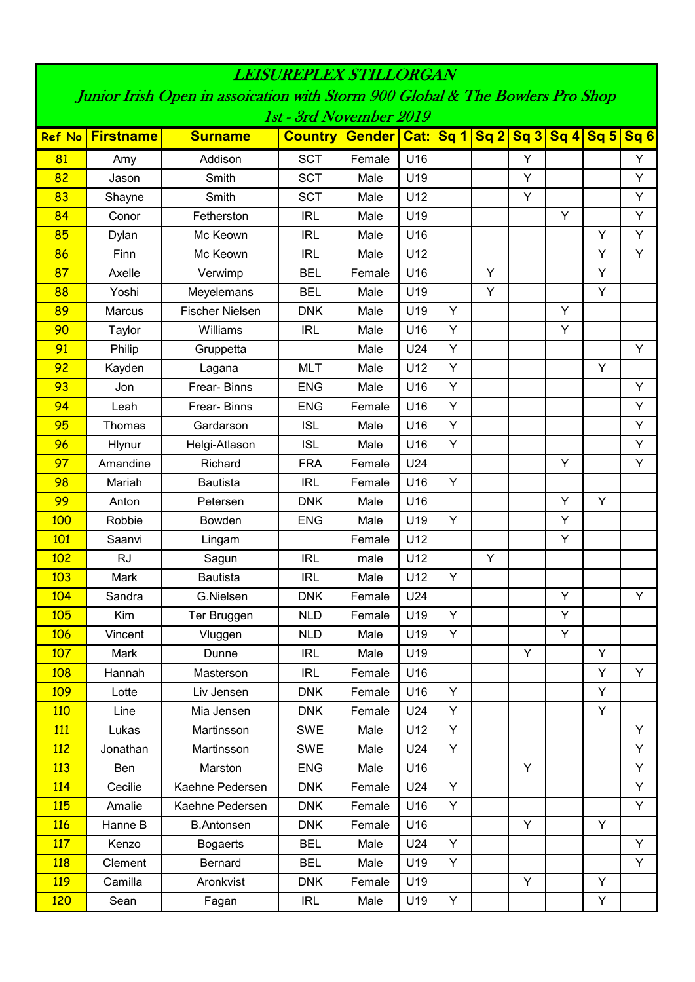| <i><b>LEKUREPLEX STILLORGAN</b></i>                                                                      |                  |                        |                |                         |     |   |   |   |   |                 |                 |  |
|----------------------------------------------------------------------------------------------------------|------------------|------------------------|----------------|-------------------------|-----|---|---|---|---|-----------------|-----------------|--|
| Junior Irish Open in assoication with Storm 900 Global & The Bowlers Pro Shop<br>1st - 3rd November 2019 |                  |                        |                |                         |     |   |   |   |   |                 |                 |  |
|                                                                                                          |                  |                        |                |                         |     |   |   |   |   |                 |                 |  |
| <b>Ref No</b>                                                                                            | <b>Firstname</b> | <b>Surname</b>         | <b>Country</b> | <b>Gender Cat: Sq 1</b> |     |   |   |   |   | Sq2 Sq3 Sq4 Sq5 | Sq <sub>6</sub> |  |
| 81                                                                                                       | Amy              | Addison                | <b>SCT</b>     | Female                  | U16 |   |   | Y |   |                 | Y               |  |
| 82                                                                                                       | Jason            | Smith                  | <b>SCT</b>     | Male                    | U19 |   |   | Y |   |                 | Y               |  |
| 83                                                                                                       | Shayne           | Smith                  | <b>SCT</b>     | Male                    | U12 |   |   | Y |   |                 | Y               |  |
| 84                                                                                                       | Conor            | Fetherston             | <b>IRL</b>     | Male                    | U19 |   |   |   | Y |                 | Y               |  |
| 85                                                                                                       | Dylan            | Mc Keown               | <b>IRL</b>     | Male                    | U16 |   |   |   |   | Y               | Y               |  |
| 86                                                                                                       | Finn             | Mc Keown               | <b>IRL</b>     | Male                    | U12 |   |   |   |   | Υ               | Y               |  |
| 87                                                                                                       | Axelle           | Verwimp                | <b>BEL</b>     | Female                  | U16 |   | Y |   |   | Y               |                 |  |
| 88                                                                                                       | Yoshi            | Meyelemans             | <b>BEL</b>     | Male                    | U19 |   | Y |   |   | Υ               |                 |  |
| 89                                                                                                       | <b>Marcus</b>    | <b>Fischer Nielsen</b> | <b>DNK</b>     | Male                    | U19 | Y |   |   | Y |                 |                 |  |
| 90                                                                                                       | Taylor           | Williams               | <b>IRL</b>     | Male                    | U16 | Y |   |   | Υ |                 |                 |  |
| 91                                                                                                       | Philip           | Gruppetta              |                | Male                    | U24 | Υ |   |   |   |                 | Y               |  |
| 92                                                                                                       | Kayden           | Lagana                 | <b>MLT</b>     | Male                    | U12 | Y |   |   |   | Y               |                 |  |
| 93                                                                                                       | Jon              | Frear-Binns            | <b>ENG</b>     | Male                    | U16 | Y |   |   |   |                 | Y               |  |
| 94                                                                                                       | Leah             | Frear-Binns            | <b>ENG</b>     | Female                  | U16 | Y |   |   |   |                 | Y               |  |
| 95                                                                                                       | Thomas           | Gardarson              | <b>ISL</b>     | Male                    | U16 | Υ |   |   |   |                 | Y               |  |
| 96                                                                                                       | Hlynur           | Helgi-Atlason          | <b>ISL</b>     | Male                    | U16 | Y |   |   |   |                 | Y               |  |
| 97                                                                                                       | Amandine         | Richard                | <b>FRA</b>     | Female                  | U24 |   |   |   | Y |                 | Y               |  |
| 98                                                                                                       | Mariah           | <b>Bautista</b>        | <b>IRL</b>     | Female                  | U16 | Y |   |   |   |                 |                 |  |
| 99                                                                                                       | Anton            | Petersen               | <b>DNK</b>     | Male                    | U16 |   |   |   | Y | Y               |                 |  |
| 100                                                                                                      | Robbie           | <b>Bowden</b>          | <b>ENG</b>     | Male                    | U19 | Y |   |   | Y |                 |                 |  |
| 101                                                                                                      | Saanvi           | Lingam                 |                | Female                  | U12 |   |   |   | Υ |                 |                 |  |
| 102                                                                                                      | <b>RJ</b>        | Sagun                  | <b>IRL</b>     | male                    | U12 |   | Y |   |   |                 |                 |  |
| 103                                                                                                      | Mark             | <b>Bautista</b>        | <b>IRL</b>     | Male                    | U12 | Y |   |   |   |                 |                 |  |
| <u>104</u>                                                                                               | Sandra           | G.Nielsen              | <b>DNK</b>     | Female                  | U24 |   |   |   | Y |                 | Y               |  |
| 105                                                                                                      | Kim              | Ter Bruggen            | <b>NLD</b>     | Female                  | U19 | Y |   |   | Y |                 |                 |  |
| 106                                                                                                      | Vincent          | Vluggen                | <b>NLD</b>     | Male                    | U19 | Y |   |   | Y |                 |                 |  |
| 107                                                                                                      | Mark             | Dunne                  | <b>IRL</b>     | Male                    | U19 |   |   | Y |   | Y               |                 |  |
| 108                                                                                                      | Hannah           | Masterson              | <b>IRL</b>     | Female                  | U16 |   |   |   |   | Y               | Y               |  |
| 109                                                                                                      | Lotte            | Liv Jensen             | <b>DNK</b>     | Female                  | U16 | Y |   |   |   | Y               |                 |  |
| 110                                                                                                      | Line             | Mia Jensen             | <b>DNK</b>     | Female                  | U24 | Y |   |   |   | Y               |                 |  |
| <b>111</b>                                                                                               | Lukas            | Martinsson             | <b>SWE</b>     | Male                    | U12 | Y |   |   |   |                 | Y               |  |
| 112                                                                                                      | Jonathan         | Martinsson             | <b>SWE</b>     | Male                    | U24 | Y |   |   |   |                 | Y               |  |
| 113                                                                                                      | Ben              | Marston                | <b>ENG</b>     | Male                    | U16 |   |   | Y |   |                 | Y               |  |
| 114                                                                                                      | Cecilie          | Kaehne Pedersen        | <b>DNK</b>     | Female                  | U24 | Y |   |   |   |                 | Y               |  |
| 115                                                                                                      | Amalie           | Kaehne Pedersen        | <b>DNK</b>     | Female                  | U16 | Y |   |   |   |                 | Y               |  |
| 116                                                                                                      | Hanne B          | <b>B.Antonsen</b>      | <b>DNK</b>     | Female                  | U16 |   |   | Y |   | Y               |                 |  |
| 117                                                                                                      | Kenzo            | <b>Bogaerts</b>        | <b>BEL</b>     | Male                    | U24 | Y |   |   |   |                 | Y               |  |
| <b>118</b>                                                                                               | Clement          | Bernard                | <b>BEL</b>     | Male                    | U19 | Y |   |   |   |                 | Y               |  |
| <b>119</b>                                                                                               | Camilla          | Aronkvist              | <b>DNK</b>     | Female                  | U19 |   |   | Y |   | Y               |                 |  |
| 120                                                                                                      | Sean             | Fagan                  | IRL            | Male                    | U19 | Y |   |   |   | Υ               |                 |  |